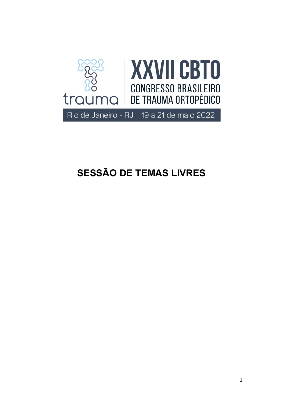

# SESSÃO DE TEMAS LIVRES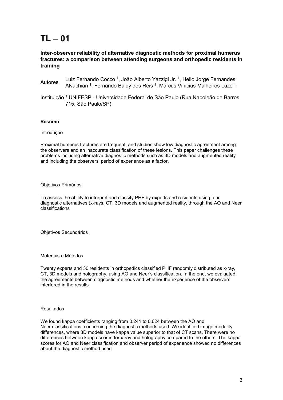### Inter-observer reliability of alternative diagnostic methods for proximal humerus fractures: a comparison between attending surgeons and orthopedic residents in training

Autores Luiz Fernando Cocco <sup>1</sup> , João Alberto Yazzigi Jr. <sup>1</sup> , Helio Jorge Fernandes Alvachian <sup>1</sup>, Fernando Baldy dos Reis <sup>1</sup>, Marcus Vinicius Malheiros Luzo <sup>1</sup>

Instituição <sup>1</sup> UNIFESP - Universidade Federal de São Paulo (Rua Napoleão de Barros, 715, São Paulo/SP)

#### Resumo

#### Introdução

Proximal humerus fractures are frequent, and studies show low diagnostic agreement among the observers and an inaccurate classification of these lesions. This paper challenges these problems including alternative diagnostic methods such as 3D models and augmented reality and including the observers' period of experience as a factor.

#### Objetivos Primários

To assess the ability to interpret and classify PHF by experts and residents using four diagnostic alternatives (x-rays, CT, 3D models and augmented reality, through the AO and Neer classifications

Objetivos Secundários

Materiais e Métodos

Twenty experts and 30 residents in orthopedics classified PHF randomly distributed as x-ray, CT, 3D models and holography, using AO and Neer's classification. In the end, we evaluated the agreements between diagnostic methods and whether the experience of the observers interfered in the results

#### Resultados

We found kappa coefficients ranging from 0.241 to 0.624 between the AO and Neer classifications, concerning the diagnostic methods used. We identified image modality differences, where 3D models have kappa value superior to that of CT scans. There were no differences between kappa scores for x-ray and holography compared to the others. The kappa scores for AO and Neer classification and observer period of experience showed no differences about the diagnostic method used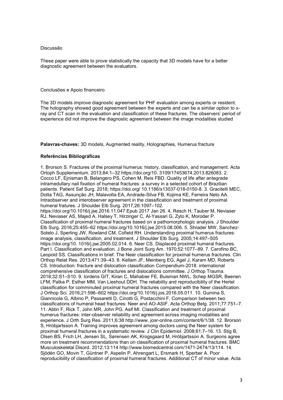These paper were able to prove statistically the capacity that 3D models have for a better diagnostic agreement between the evaluators.

#### Conclusões e Apoio financeiro

The 3D models improve diagnostic agreement for PHF evaluation among experts or resident. The holography showed good agreement between the experts and can be a similar option to xray and CT scan in the evaluation and classification of these fractures. The observers' period of experience did not improve the diagnostic agreement between the image modalities studied

Palavras-chaves: 3D models, Augmented reality, Holographies, Humerus fracture

#### Referências Bibliográficas

1. Brorson S. Fractures of the proximal humerus: history, classification, and management. Acta Ortoph Supplementum. 2013;84:1–32 https://doi.org/10. 3109/17453674.2013.826083. 2. Cocco LF, Ejnisman B, Belangero PS, Cohen M, Reis FBD. Quality of life after antegrade intramedullary nail fixation of humeral fractures: a survey in a selected cohort of Brazilian patients. Patient Saf Surg. 2018; https://doi.org/ 10.1186/s13037-018-0150-8. 3. Gracitelli MEC, Dotta TAG, Assunção JH, Malavolta EA, Andrade-Silva FB, Kojima KE, Ferreira Neto AA. Intraobserver and interobserver agreement in the classification and treatment of proximal humeral fratures. J Shoulder Elb Surg. 2017;26:1097–102. https://doi.org/10.1016/j.jse.2016.11.047 Epub 2017 Jan 26. 4. Resch H, Tauber M, Neviaser RJ, Neviaser AS, Majed A, Halsey T, Hirzinger C, Al-Yassari G, Zyto K, Moroder P. Classification of proximal humeral fractures based on a pathomorphologic analysis. J Shoulder Elb Surg. 2016;25:455–62 https://doi.org/10.1016/j.jse.2015.08.006. 5. Shrader MW, Sanchez-Sotelo J, Sperling JW, Rowland CM, Cofield RH. Understanding proximal humerus fractures: image analysis, classification, and treatment. J Shoulder Elb Surg. 2005;14:497–505 https://doi.org/10. 1016/j.jse.2005.02.014. 6. Neer CS. Displaced proximal humeral fractures. Part I. Classification and evaluation. J Bone Joint Surg Am. 1970;52:1077–89. 7. Carofino BC, Leopold SS. Classifications in brief. The Neer classification for proximal humerus fractures. Clin Orthop Relat Res. 2013;471:39–43. 8. Kellam JF, Meinberg EG, Agel J, Karam MD, Roberts CS. Introduction: fracture and dislocation classification Compendium-2018: international comprehensive classification of fractures and dislocations committee. J Orthop Trauma. 2018;32:S1–S10. 9. Iordens GIT, Kiran C, Mahabier FE, Buisman NWL, Schep MGSR, Beenen LFM, Patka P, Esther MM, Van Lieshout DDH. The reliability and reproducibility of the Hertel classification for comminuted proximal humeral fractures compared with the Neer classification. J Orthop Sci. 2016;21:596–602 https://doi.org/10.1016/j.jos.2016.05.011. 10. Gumina S, Giannicola G, Albino P, Passaretti D, Cinotti G, Postacchini F. Comparison between two classifications of humeral head fractures: Neer and AO-ASIF. Acta Orthop Belg. 2011;77:751–7. 11. Abtin F, Rick T, John MR, John PG, Asif MI. Classification and treatment of proximal humerus fractures: inter-observer reliability and agreement across imaging modalities and experience. J Orth Surg Res. 2011;6:38 http://www. josr-online.com/content/6/1/38. 12. Brorson S, Hróbjartsson A. Training improves agreement among doctors using the Neer system for proximal humeral fractures in a systematic review. J Clin Epidemiol. 2008;61:7–16. 13. Stig B, Olsen BS, Frich LH, Jensen SL, Sørensen AK, Krogsgaard M, Hróbjartsson A. Surgeons agree more on treatment recommendations than on classification of proximal humeral fractures. BMC Musculoskeletal Disord. 2012;13:114 http://www.biomedcentral.com/1471-2474/13/114. 14. Sjödén GO, Movin T, Güntner P, Aspelin P, Ahrengart L, Ersmark H, Sperber A. Poor reproducibility of classification of proximal humeral fractures. Additional CT of minor value. Acta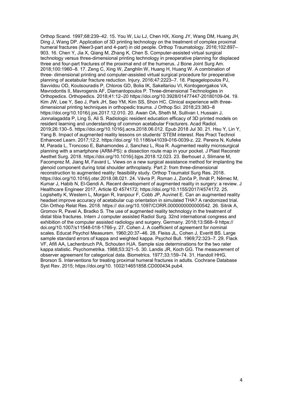Orthop Scand. 1997;68:239–42. 15. You W, Liu LJ, Chen HX, Xiong JY, Wang DM, Huang JH, Ding J, Wang DP. Application of 3D printing technology on the treatment of complex proximal humeral fractures (Neer3-part and 4-part) in old people. Orthop Traumatology. 2016;102:897-903. 16. Chen Y, Jia X, Qiang M, Zhang K, Chen S. Computer-assisted virtual surgical technology versus three-dimensional printing technology in preoperative planning for displaced three and four-part fractures of the proximal end of the humerus. J Bone Joint Surg Am. 2018;100:1960–8. 17. Zeng C, Xing W, Zanghlin W, Huang H, Huang W. A combination of three- dimensional printing and computer-assisted virtual surgical procedure for preoperative planning of acetabular fracture reduction. Injury. 2016;47:2223–7. 18. Papagelopoulos PJ, Savvidou OD, Koutsouradis P, Chloros GD, Bolia IK, Sakellariou VI, Kontogeorgakos VA, Mavrodontis II, Mavrogenis AF, Diamantopoulos P. Three-dimensional Technologies in Orthopedics. Orthopedics. 2018;41:12–20 https://doi.org/10.3928/01477447-20180109-04. 19. Kim JW, Lee Y, Seo J, Park JH, Seo YM, Kim SS, Shon HC. Clinical experience with threedimensional printing techniques in orthopedic trauma. J Orthop Sci. 2018;23:383–8 https://doi.org/10.1016/j.jos.2017.12.010. 20. Awan OA, Sheth M, Sullivan I, Hussain J, Jonnalagadda P, Ling S, Ali S. Radiologic resident education efficacy of 3D printed models on resident learning and understanding of common acetabular Fracturers. Acad Radiol. 2019;26:130–5. https://doi.org/10.1016/j.acra.2018.06.012. Epub 2018 Jul 30. 21. Hsu Y, Lin Y, Yang B. Impact of augmented reality lessons on students' STEM interest. Res Pract Technol Enhanced Learn. 2017;12:2. https://doi.org/ 10.1186/s41039-016-0039-z. 22. Pereira N, Kufeke M, Parada L, Troncoso E, Bahamondes J, Sanchez L, Roa R. Augmented reality microsurgical planning with a smartphone (ARM-PS): a dissection route map in your pocket. J Plast Reconstr Aesthet Surg. 2018. https://doi.org/10.1016/j.bjps.2018.12.023. 23. Berhouet J, Slimane M, Facomprez M, Jiang M, Favard L. Views on a new surgical assistance method for implanting the glenoid component during total shoulder arthroplasty. Part 2: from three-dimensional reconstruction to augmented reality: feasibility study. Orthop Traumatol Surg Res. 2018. https://doi.org/10.1016/j.otsr.2018.08.021. 24. Vávra P, Roman J, Zonča P, Ihnát P, Němec M, Kumar J, Habib N, El-Gendi A. Recent development of augmented reality in surgery: a review. J Healthcare Engineer 2017, Article ID 4574172; https://doi.org/10.1155/2017/4574172. 25. Logishetty K, Western L, Morgan R, Iranpour F, Cobb JP, Auvinet E. Can an augmented reality headset improve accuracy of acetabular cup orientation in simulated THA? A randomized trial. Clin Orthop Relat Res. 2018. https:// doi.org/10.1097/CORR.0000000000000542. 26. Sitnik A, Gromov R, Pavel A, Bradko S. The use of augmented reality technology in the treatment of distal tibia fractures. Intern J computer assisted Radiol Surg. 32nd international congress and exhibition of the computer assisted radiology and surgery. Germany. 2018;13:S68–9 https:// doi.org/10.1007/s11548-018-1766-y. 27. Cohen J. A coefficient of agreement for nominal scales. Educat Psychol Measurem. 1960;20:37–46. 28. Fleiss JL, Cohen J, Everitt BS. Large sample standard errors of kappa and weighted kappa. Psychol Bull. 1969;72:323–7. 29. Flack VF, Afifi AA, Lachenbruch PA, Schouten HJA. Sample size determinations for the two rater kappa statistic. Psychometrika. 1988;53:321–5. 30. Landis JR, Koch GG. The measurement of observer agreement for categorical data. Biometrics. 1977;33:159–74. 31. Handoll HHG, Brorson S. Interventions for treating proximal humeral fractures in adults. Cochrane Database Syst Rev. 2015; https://doi.org/10. 1002/14651858.CD000434.pub4.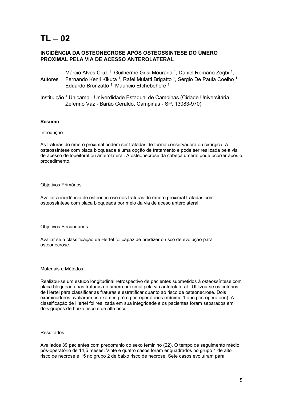## INCIDÊNCIA DA OSTEONECROSE APÓS OSTEOSSÍNTESE DO ÚMERO PROXIMAL PELA VIA DE ACESSO ANTEROLATERAL

Autores Márcio Alves Cruz<sup>1</sup>, Guilherme Grisi Mouraria<sup>1</sup>, Daniel Romano Zogbi<sup>1</sup>, Fernando Kenji Kikuta <sup>1</sup>, Rafel Mulatti Brigatto <sup>1</sup>, Sérgio De Paula Coelho <sup>1</sup>, Eduardo Bronzatto<sup>1</sup>, Mauricio Etchebehere<sup>1</sup>

Instituição <sup>1</sup> Unicamp - Univerdidade Estadual de Campinas (Cidade Universitária Zeferino Vaz - Barão Geraldo, Campinas - SP, 13083-970)

#### Resumo

#### Introdução

As fraturas do úmero proximal podem ser tratadas de forma conservadora ou cirúrgica. A osteossíntese com placa bloqueada é uma opção de tratamento e pode ser realizada pela via de acesso deltopeitoral ou anterolateral. A osteonecrose da cabeça umeral pode ocorrer após o procedimento.

#### Objetivos Primários

Avaliar a incidência de osteonecrose nas fraturas do úmero proximal tratadas com osteossíntese com placa bloqueada por meio da via de aceso anterolateral

#### Objetivos Secundários

Avaliar se a classificação de Hertel foi capaz de predizer o risco de evolução para osteonecrose.

#### Materiais e Métodos

Realizou-se um estudo longitudinal retrospectivo de pacientes submetidos à osteossíntese com placa bloqueada nas fraturas do úmero proximal pela via anterolateral . Utilizou-se os critérios de Hertel para classificar as fraturas e estratificar quanto ao risco de osteonecrose. Dois examinadores avaliaram os exames pré e pós-operatórios (mínimo 1 ano pós-operatório). A classificação de Hertel foi realizada em sua integridade e os pacientes foram separados em dois grupos:de baixo risco e de alto risco

#### Resultados

Avaliados 39 pacientes com predomínio do sexo feminino (22). O tempo de seguimento médio pós-operatório de 14,5 meses. Vinte e quatro casos foram enquadrados no grupo 1 de alto risco de necrose e 15 no grupo 2 de baixo risco de necrose. Sete casos evoluíram para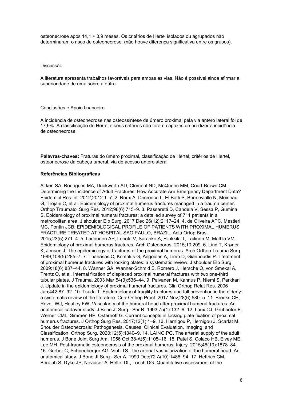osteonecrose após 14,1 + 3,9 meses. Os critérios de Hertel isolados ou agrupados não determinaram o risco de osteonecrose. (não houve diferença significativa entre os grupos).

#### Discussão

A literatura apresenta trabalhos favoráveis para ambas as vias. Não é possível ainda afirmar a superioridade de uma sobre a outra

#### Conclusões e Apoio financeiro

A incidência de osteonecrose nas osteossintese de úmero proximal pela via antero lateral foi de 17,9%. A classificação de Hertel e seus critérios não foram capazes de predizer a incidência de osteonecrose

Palavras-chaves: Fraturas do úmero proximal, classificação de Hertel, critérios de Hertel, osteonecrose da cabeça umeral, via de acesso anterolateral

#### Referências Bibliográficas

Aitken SA, Rodrigues MA, Duckworth AD, Clement ND, McQueen MM, Court-Brown CM. Determining the Incidence of Adult Fractures: How Accurate Are Emergency Department Data? Epidemiol Res Int. 2012;2012:1–7. 2. Roux A, Decroocq L, El Batti S, Bonnevialle N, Moineau G, Trojani C, et al. Epidemiology of proximal humerus fractures managed in a trauma center. Orthop Traumatol Surg Res. 2012;98(6):715–9. 3. Passaretti D, Candela V, Sessa P, Gumina S. Epidemiology of proximal humeral fractures: a detailed survey of 711 patients in a metropolitan area. J shoulder Elb Surg. 2017 Dec;26(12):2117–24. 4. de Oliveira APC, Mestieri MC, Pontin JCB. EPIDEMIOLOGICAL PROFILE OF PATIENTS WITH PROXIMAL HUMERUS FRACTURE TREATED AT HOSPITAL SAO PAULO, BRAZIL. Acta Ortop Bras. 2015;23(5):271–4. 5. Launonen AP, Lepola V, Saranko A, Flinkkila T, Laitinen M, Mattila VM. Epidemiology of proximal humerus fractures. Arch Osteoporos. 2015;10:209. 6. Lind T, Krøner K, Jensen J. The epidemiology of fractures of the proximal humerus. Arch Orthop Trauma Surg. 1989;108(5):285–7. 7. Thanasas C, Kontakis G, Angoules A, Limb D, Giannoudis P. Treatment of proximal humerus fractures with locking plates: a systematic review. J shoulder Elb Surg. 2009;18(6):837–44. 8. Wanner GA, Wanner-Schmid E, Romero J, Hersche O, von Smekal A, Trentz O, et al. Internal fixation of displaced proximal humeral fractures with two one-third tubular plates. J Trauma. 2003 Mar;54(3):536–44. 9. Palvanen M, Kannus P, Niemi S, Parkkari J. Update in the epidemiology of proximal humeral fractures. Clin Orthop Relat Res. 2006 Jan;442:87–92. 10. Tsuda T. Epidemiology of fragility fractures and fall prevention in the elderly: a systematic review of the literature. Curr Orthop Pract. 2017 Nov;28(6):580–5. 11. Brooks CH, Revell WJ, Heatley FW. Vascularity of the humeral head after proximal humeral fractures: An anatomical cadaver study. J Bone Jt Surg - Ser B. 1993;75(1):132–6. 12. Laux CJ, Grubhofer F, Werner CML, Simmen HP, Osterhoff G. Current concepts in locking plate fixation of proximal humerus fractures. J Orthop Surg Res. 2017;12(1):1–9. 13. Hernigou P, Hernigou J, Scarlat M. Shoulder Osteonecrosis: Pathogenesis, Causes, Clinical Evaluation, Imaging, and Classification. Orthop Surg. 2020;12(5):1340–9. 14. LAING PG. The arterial supply of the adult humerus. J Bone Joint Surg Am. 1956 Oct;38-A(5):1105–16. 15. Patel S, Colaco HB, Elvey ME, Lee MH. Post-traumatic osteonecrosis of the proximal humerus. Injury. 2015;46(10):1878–84. 16. Gerber C, Schneeberger AG, Vinh TS. The arterial vascularization of the humeral head. An anatomical study. J Bone Jt Surg - Ser A. 1990 Dec;72 A(10):1486–94. 17. Hettrich CM, Boraiah S, Dyke JP, Neviaser A, Helfet DL, Lorich DG. Quantitative assessment of the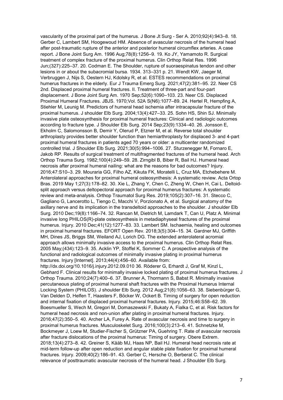vascularity of the proximal part of the humerus. J Bone Jt Surg - Ser A. 2010;92(4):943–8. 18. Gerber C, Lambert SM, Hoogewoud HM. Absence of avascular necrosis of the humeral head after post-traumatic rupture of the anterior and posterior humeral circumflex arteries. A case report. J Bone Joint Surg Am. 1996 Aug;78(8):1256–9. 19. Ko JY, Yamamoto R. Surgical treatment of complex fracture of the proximal humerus. Clin Orthop Relat Res. 1996 Jun;(327):225–37. 20. Codman E. The Shoulder, rupture of suoraespinatus tendon and other lesions in or about the subacromial bursa. 1934. 313–331 p. 21. Wendt KW, Jaeger M, Verbruggen J, Nijs S, Oestern HJ, Kdolsky R, et al. ESTES recommendations on proximal humerus fractures in the elderly. Eur J Trauma Emerg Surg. 2021;47(2):381–95. 22. Neer CS 2nd. Displaced proximal humeral fractures. II. Treatment of three-part and four-part displacement. J Bone Joint Surg Am. 1970 Sep;52(6):1090–103. 23. Neer CS. Displaced Proximal Humeral Fractures. JBJS. 1970;Vol. 52A S(N6):1077–89. 24. Hertel R, Hempfing A, Stiehler M, Leunig M. Predictors of humeral head ischemia after intracapsular fracture of the proximal humerus. J shoulder Elb Surg. 2004;13(4):427–33. 25. Sohn HS, Shin SJ. Minimally invasive plate osteosynthesis for proximal humeral fractures: Clinical and radiologic outcomes according to fracture type. J Shoulder Elb Surg. 2014 Sep;23(9):1334–40. 26. Jonsson E, Ekholm C, Salomonsson B, Demir Y, Olerud P, Etzner M, et al. Reverse total shoulder arthroplasty provides better shoulder function than hemiarthroplasty for displaced 3- and 4-part proximal humeral fractures in patients aged 70 years or older: a multicenter randomized controlled trial. J Shoulder Elb Surg. 2021;30(5):994–1006. 27. Sturzenegger M, Fornaro E, Jakob RP. Results of surgical treatment of multifragmented fractures of the humeral head. Arch Orthop Trauma Surg. 1982;100(4):249–59. 28. Zirngibl B, Biber R, Bail HJ. Humeral head necrosis after proximal humeral nailing: what are the reasons for bad outcomes? Injury. 2016;47:S10–3. 29. Mouraria GG, Filho AZ, Kikuta FK, Moratelli L, Cruz MA, Etchebehere M. Anterolateral approaches for proximal humeral osteosynthesis: A systematic review. Acta Ortop Bras. 2019 May 1;27(3):178–82. 30. Xie L, Zhang Y, Chen C, Zheng W, Chen H, Cai L. Deltoidsplit approach versus deltopectoral approach for proximal humerus fractures: A systematic review and meta-analysis. Orthop Traumatol Surg Res. 2019;105(2):307–16. 31. Stecco C, Gagliano G, Lancerotto L, Tiengo C, Macchi V, Porzionato A, et al. Surgical anatomy of the axillary nerve and its implication in the transdeltoid approaches to the shoulder. J shoulder Elb Surg. 2010 Dec;19(8):1166–74. 32. Rancan M, Dietrich M, Lamdark T, Can U, Platz A. Minimal invasive long PHILOS(R)-plate osteosynthesis in metadiaphyseal fractures of the proximal humerus. Injury. 2010 Dec;41(12):1277–83. 33. Lambert SM. Ischaemia, healing and outcomes in proximal humeral fractures. EFORT Open Rev. 2018;3(5):304–15. 34. Gardner MJ, Griffith MH, Dines JS, Briggs SM, Weiland AJ, Lorich DG. The extended anterolateral acromial approach allows minimally invasive access to the proximal humerus. Clin Orthop Relat Res. 2005 May;(434):123–9. 35. Acklin YP, Stoffel K, Sommer C. A prospective analysis of the functional and radiological outcomes of minimally invasive plating in proximal humerus fractures. Injury [Internet]. 2013;44(4):456–60. Available from: http://dx.doi.org/10.1016/j.injury.2012.09.010 36. Röderer G, Erhardt J, Graf M, Kinzl L, Gebhard F. Clinical results for minimally invasive locked plating of proximal humerus fractures. J Orthop Trauma. 2010;24(7):400–6. 37. Brunner A, Thormann S, Babst R. Minimally invasive percutaneous plating of proximal humeral shaft fractures with the Proximal Humerus Internal Locking System (PHILOS). J shoulder Elb Surg. 2012 Aug;21(8):1056–63. 38. Siebenbürger G, Van Delden D, Helfen T, Haasters F, Böcker W, Ockert B. Timing of surgery for open reduction

and internal fixation of displaced proximal humeral fractures. Injury. 2015;46:S58–62. 39. Boesmueller S, Wech M, Gregori M, Domaszewski F, Bukaty A, Fialka C, et al. Risk factors for humeral head necrosis and non-union after plating in proximal humeral fractures. Injury. 2016;47(2):350–5. 40. Archer LA, Furey A. Rate of avascular necrosis and time to surgery in proximal humerus fractures. Musculoskelet Surg. 2016;100(3):213–6. 41. Schnetzke M, Bockmeyer J, Loew M, Studier-Fischer S, Grützner PA, Guehring T. Rate of avascular necrosis after fracture dislocations of the proximal humerus: Timing of surgery. Obere Extrem. 2018;13(4):273–8. 42. Greiner S, Kääb MJ, Haas NP, Bail HJ. Humeral head necrosis rate at mid-term follow-up after open reduction and angular stable plate fixation for proximal humeral fractures. Injury. 2009;40(2):186–91. 43. Gerber C, Hersche O, Berberat C. The clinical relevance of posttraumatic avascular necrosis of the humeral head. J Shoulder Elb Surg.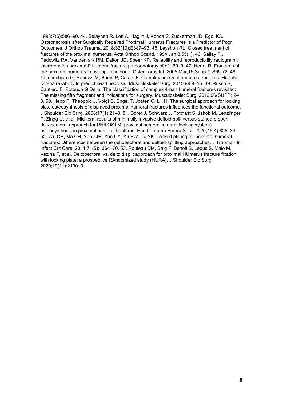1998;7(6):586–90. 44. Belayneh R, Lott A, Haglin J, Konda S, Zuckerman JD, Egol KA. Osteonecrosis after Surgically Repaired Proximal Humerus Fractures Is a Predictor of Poor Outcomes. J Orthop Trauma. 2018;32(10):E387–93. 45. Leyshon RL. Closed treatment of fractures of the proximal humerus. Acta Orthop Scand. 1984 Jan 8;55(1). 46. Sallay PI, Pedowitz RA, Vandemark RM, Dalton JD, Speer KP. Reliability and reproducibility radiogra hit interpretation proxima P humeral fracture pathoanatomy of of. :60–9. 47. Hertel R. Fractures of the proximal humerus in osteoporotic bone. Osteoporos Int. 2005 Mar;16 Suppl 2:S65-72. 48. Campochiaro G, Rebuzzi M, Baudi P, Catani F. Complex proximal humerus fractures: Hertel's criteria reliability to predict head necrosis. Musculoskelet Surg. 2015;99:9–15. 49. Russo R, Cautiero F, Rotonda G Della. The classification of complex 4-part humeral fractures revisited: The missing fifth fragment and indications for surgery. Musculoskelet Surg. 2012;96(SUPP):2– 8. 50. Hepp P, Theopold J, Voigt C, Engel T, Josten C, Lill H. The surgical approach for locking plate osteosynthesis of displaced proximal humeral fractures influences the functional outcome. J Shoulder Elb Surg. 2008;17(1):21–8. 51. Borer J, Schwarz J, Potthast S, Jakob M, Lenzlinger P, Zingg U, et al. Mid-term results of minimally invasive deltoid-split versus standard open deltopectoral approach for PHILOSTM (proximal humeral internal locking system) osteosynthesis in proximal humeral fractures. Eur J Trauma Emerg Surg. 2020;46(4):825–34. 52. Wu CH, Ma CH, Yeh JJH, Yen CY, Yu SW, Tu YK. Locked plating for proximal humeral fractures: Differences between the deltopectoral and deltoid-splitting approaches. J Trauma - Inj Infect Crit Care. 2011;71(5):1364–70. 53. Rouleau DM, Balg F, Benoit B, Leduc S, Malo M, Vézina F, et al. Deltopectoral vs. deltoid split approach for proximal HUmerus fracture fixation with locking plate: a prospective RAndomized study (HURA). J Shoulder Elb Surg. 2020;29(11):2190–9.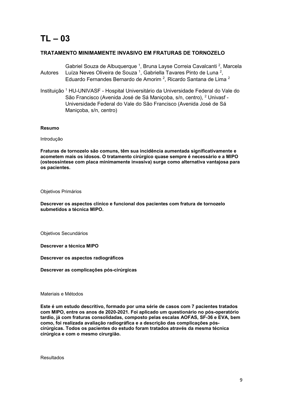### TRATAMENTO MINIMAMENTE INVASIVO EM FRATURAS DE TORNOZELO

- Autores Gabriel Souza de Albuquerque <sup>1</sup>, Bruna Layse Correia Cavalcanti<sup>2</sup>, Marcela Luíza Neves Oliveira de Souza <sup>1</sup>, Gabriella Tavares Pinto de Luna <sup>2</sup>, Eduardo Fernandes Bernardo de Amorim<sup>2</sup>, Ricardo Santana de Lima<sup>2</sup>
- Instituição <sup>1</sup> HU-UNIVASF Hospital Universitário da Universidade Federal do Vale do São Francisco (Avenida José de Sá Maniçoba, s/n, centro), <sup>2</sup> Univasf -Universidade Federal do Vale do São Francisco (Avenida José de Sá Maniçoba, s/n, centro)

#### Resumo

Introdução

Fraturas de tornozelo são comuns, têm sua incidência aumentada significativamente e acometem mais os idosos. O tratamento cirúrgico quase sempre é necessário e a MIPO (osteossíntese com placa minimamente invasiva) surge como alternativa vantajosa para os pacientes.

Objetivos Primários

Descrever os aspectos clínico e funcional dos pacientes com fratura de tornozelo submetidos a técnica MIPO.

Objetivos Secundários

Descrever a técnica MIPO

Descrever os aspectos radiográficos

Descrever as complicações pós-cirúrgicas

Materiais e Métodos

Este é um estudo descritivo, formado por uma série de casos com 7 pacientes tratados com MIPO, entre os anos de 2020-2021. Foi aplicado um questionário no pós-operatório tardio, já com fraturas consolidadas, composto pelas escalas AOFAS, SF-36 e EVA, bem como, foi realizada avaliação radiográfica e a descrição das complicações póscirúrgicas. Todos os pacientes do estudo foram tratados através da mesma técnica cirúrgica e com o mesmo cirurgião.

Resultados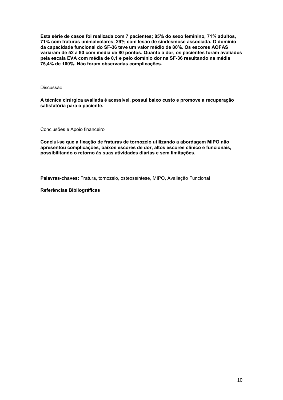Esta série de casos foi realizada com 7 pacientes; 85% do sexo feminino, 71% adultos, 71% com fraturas unimaleolares, 29% com lesão de sindesmose associada. O domínio da capacidade funcional do SF-36 teve um valor médio de 80%. Os escores AOFAS variaram de 52 a 90 com média de 80 pontos. Quanto à dor, os pacientes foram avaliados pela escala EVA com média de 0,1 e pelo domínio dor na SF-36 resultando na média 75,4% de 100%. Não foram observadas complicações.

Discussão

A técnica cirúrgica avaliada é acessível, possui baixo custo e promove a recuperação satisfatória para o paciente.

Conclusões e Apoio financeiro

Conclui-se que a fixação de fraturas de tornozelo utilizando a abordagem MIPO não apresentou complicações, baixos escores de dor, altos escores clínico e funcionais, possibilitando o retorno às suas atividades diárias e sem limitações.

Palavras-chaves: Fratura, tornozelo, osteossíntese, MIPO, Avaliação Funcional

Referências Bibliográficas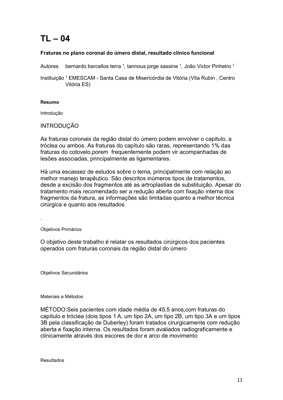## Fraturas no plano coronal do úmero distal, resultado clínico funcional

Autores bernardo barcellos terra <sup>1</sup>, tannous jorge sassine <sup>1</sup>, João Victor Pinheiro <sup>1</sup>

Instituição <sup>1</sup> EMESCAM - Santa Casa de Misericórdia de Vitória (VIIa Rubin, Centro Vitória ES)

### Resumo

Introdução

## INTRODUÇÃO

As fraturas coronais da região distal do úmero podem envolver o capitulo, a tróclea ou ambos. As fraturas do capítulo são raras, representando 1% das fraturas do cotovelo,porem frequentemente podem vir acompanhadas de lesões associadas, principalmente as ligamentares.

Há uma escassez de estudos sobre o tema, principalmente com relação ao melhor manejo terapêutico. São descritos inúmeros tipos de tratamentos, desde a excisão dos fragmentos até as artroplastias de substituição. Apesar do tratamento mais recomendado ser a redução aberta com fixação interna dos fragmentos da fratura, as informações são limitadas quanto a melhor técnica cirúrgica e quanto aos resultados.

Objetivos Primários

.

O objetivo deste trabalho é relatar os resultados cirúrgicos dos pacientes operados com fraturas coronais da região distal do úmero

Objetivos Secundários

Materiais e Métodos

MÉTODO:Seis pacientes com idade média de 45,5 anos,com fraturas do capítulo e tróclea (dois tipos 1 A, um tipo 2A, um tipo 2B, um tipo 3A e um tipos 3B pela classificação de Duberley) foram tratados cirurgicamente com redução aberta e fixação interna. Os resultados foram avaliados radiograficamente e clinicamente através dos escores de dor e arco de movimento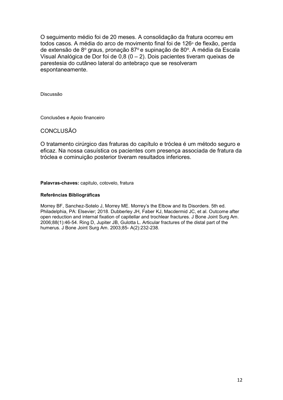O seguimento médio foi de 20 meses. A consolidação da fratura ocorreu em todos casos. A média do arco de movimento final foi de 126º de flexão, perda de extensão de 8º graus, pronação 87º e supinação de 80º. A média da Escala Visual Analógica de Dor foi de 0,8 ( $0 - 2$ ). Dois pacientes tiveram queixas de parestesia do cutâneo lateral do antebraço que se resolveram espontaneamente.

Discussão

Conclusões e Apoio financeiro

## CONCLUSÃO

O tratamento cirúrgico das fraturas do capítulo e tróclea é um método seguro e eficaz. Na nossa casuística os pacientes com presença associada de fratura da tróclea e cominuição posterior tiveram resultados inferiores.

Palavras-chaves: capitulo, cotovelo, fratura

#### Referências Bibliográficas

Morrey BF, Sanchez-Sotelo J, Morrey ME. Morrey's the Elbow and Its Disorders. 5th ed. Philadelphia, PA: Elsevier; 2018. Dubberley JH, Faber KJ, Macdermid JC, et al. Outcome after open reduction and internal fixation of capitellar and trochlear fractures. J Bone Joint Surg Am. 2006;88(1):46-54. Ring D, Jupiter JB, Gulotta L. Articular fractures of the distal part of the humerus. J Bone Joint Surg Am. 2003;85- A(2):232-238.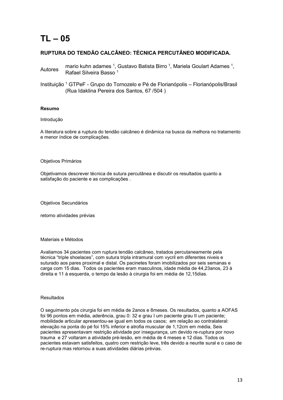## RUPTURA DO TENDÃO CALCÂNEO: TÉCNICA PERCUTÂNEO MODIFICADA.

- Autores mario kuhn adames 1, Gustavo Batista Birro 1, Mariela Goulart Adames 1, Autores parasita Deces 1 Rafael Silveira Basso <sup>1</sup>
- Instituição <sup>1</sup> GTPeF Grupo do Tornozelo e Pé de Florianópolis Florianópolis/Brasil (Rua Idaklina Pereira dos Santos, 67 /504 )

#### Resumo

#### Introdução

A literatura sobre a ruptura do tendão calcâneo é dinâmica na busca da melhora no tratamento e menor índice de complicações.

#### Objetivos Primários

Objetivamos descrever técnica de sutura percutânea e discutir os resultados quanto a satisfação do paciente e as complicações .

Objetivos Secundários

retorno atividades prévias

#### Materiais e Métodos

Avaliamos 34 pacientes com ruptura tendão calcâneo, tratados percutaneamente pela técnica "triple shoelaces", com sutura tripla intramural com vycril em diferentes niveis e suturado aos pares proximal e distal. Os pacinetes foram imobilizados por seis semanas e carga com 15 dias. Todos os pacientes eram masculinos, idade média de 44,23anos, 23 à direita e 11 à esquerda, o tempo da lesão à cirurgia foi em média de 12,15dias.

#### Resultados

O seguimento pós cirurgia foi em média de 2anos e 8meses. Os resultados, quanto a AOFAS foi 96 pontos em média, aderência, grau 0: 32 e grau I um paciente grau II um paciente; mobilidade articular apresentou-se igual em todos os casos; em relação ao contralateral: elevação na ponta do pé foi 15% inferior e atrofia muscular de 1,12cm em média, Seis pacientes apresentavam restrição atividade por insegurança, um devido re-ruptura por novo trauma e 27 voltaram a atividade pré-lesão, em média de 4 meses e 12 dias. Todos os pacientes estavam satisfeitos, quatro com restrição leve, três devido a neurite sural e o caso de re-ruptura mas retornou a suas atividades diárias prévias.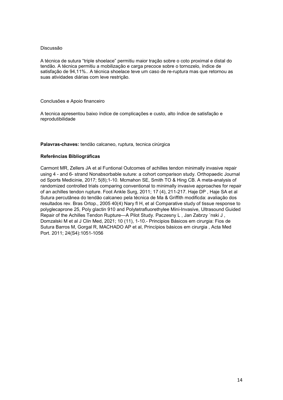A técnica de sutura "triple shoelace" permitiu maior tração sobre o coto proximal e distal do tendão. A técnica permitiu a mobilização e carga precoce sobre o tornozelo, índice de satisfação de 94,11%.. A técnica shoelace teve um caso de re-ruptura mas que retornou as suas atividades diárias com leve restrição.

#### Conclusões e Apoio financeiro

A tecnica apresentou baixo índice de complicações e custo, alto índice de satisfação e reprodutibilidade

#### Palavras-chaves: tendão calcaneo, ruptura, tecnica cirúrgica

#### Referências Bibliográficas

Carmont MR, Zellers JA et al Funtional Outcomes of achilles tendon minimally invasive repair using 4 - and 6- strand Nonabsorbable suture: a cohort comparison study. Orthopaedic Journal od Sports Medicinie, 2017; 5(8);1-10. Mcmahon SE, Smith TO & Hing CB. A meta-analysis of randomized controlled trials comparing conventional to minimally invasive approaches for repair of an achilles tendon rupture. Foot Ankle Surg, 2011; 17 (4), 211-217. Haje DP , Haje SA et al Sutura percutânea do tendão calcaneo pela técnica de Ma & Griffith modificda: avaliação dos resultados rev. Bras Ortop., 2005 40(4) Nary fl H, et al Comparative study of tissue response to polyglecaprone 25, Poly glactin 910 and Polytetrafluorethylee Mini-Invasive, Ultrasound Guided Repair of the Achilles Tendon Rupture—A Pilot Study. Paczesny L, Jan Zabrzy 'nski J, Domzalski M et al J Clin Med, 2021; 10 (11), 1-10.- Principios Básicos em cirurgia: Fios de Sutura Barros M, Gorgal R, MACHADO AP et al, Princípios básicos em cirurgia , Acta Med Port. 2011; 24(S4):1051-1056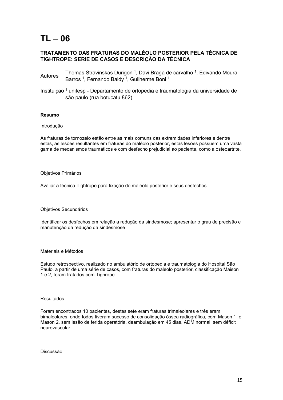## TL – 06

## TRATAMENTO DAS FRATURAS DO MALÉOLO POSTERIOR PELA TÉCNICA DE TIGHTROPE: SERIE DE CASOS E DESCRIÇÃO DA TÉCNICA

- Autores Thomas Stravinskas Durigon <sup>1</sup>, Davi Braga de carvalho <sup>1</sup>, Edivando Moura Barros<sup>1</sup>, Fernando Baldy<sup>1</sup>, Guilherme Boni<sup>1</sup>
- Instituição <sup>1</sup> unifesp Departamento de ortopedia e traumatologia da universidade de são paulo (rua botucatu 862)

#### Resumo

#### Introdução

As fraturas de tornozelo estão entre as mais comuns das extremidades inferiores e dentre estas, as lesões resultantes em fraturas do maléolo posterior, estas lesões possuem uma vasta gama de mecanismos traumáticos e com desfecho prejudicial ao paciente, como a osteoartrite.

#### Objetivos Primários

Avaliar a técnica Tightrope para fixação do maléolo posterior e seus desfechos

Objetivos Secundários

Identificar os desfechos em relação a redução da sindesmose; apresentar o grau de precisão e manutenção da redução da sindesmose

#### Materiais e Métodos

Estudo retrospectivo, realizado no ambulatório de ortopedia e traumatologia do Hospital São Paulo, a partir de uma série de casos, com fraturas do maleolo posterior, classificação Maison 1 e 2, foram tratados com Tighrope.

#### Resultados

Foram encontrados 10 pacientes, destes sete eram fraturas trimaleolares e três eram bimaleolares, onde todos tiveram sucesso de consolidação óssea radiográfica, com Mason 1 e Mason 2, sem lesão de ferida operatória, deambulação em 45 dias, ADM normal, sem déficit neurovascular

Discussão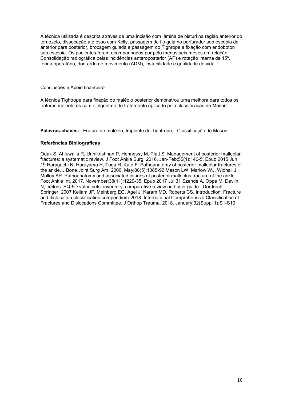A técnica utilizada é descrita através de uma incisão com lâmina de bisturi na região anterior do tornozelo, dissecação até osso com Kelly, passagem de fio guia no perfurador sob escopia de anterior para posterior, brocagem guiada e passagem do Tighrope e fixação com endoboton sob escopia. Os pacientes foram acompanhados por pelo menos seis meses em relação: Consolidação radiográfica pelas incidências anteroposterior (AP) e rotação interna de 15⁰, ferida operatória, dor, ardo de movimento (ADM), instabilidade e qualidade de vida

Conclusões e Apoio financeiro

A técnica Tightrope para fixação do maléolo posterior demonstrou uma melhora para todos os fraturas maleolares com o algoritmo de tratamento aplicado pela classificação de Mason

Palavras-chaves: : Fratura de maléolo, Implante de Tightrope, . Classificação de Mason

#### Referências Bibliográficas

Odak S, Ahluwalia R, Unnikrishnan P, Hennessy M, Platt S. Management of posterior malleolar fractures: a systematic review. J Foot Ankle Surg. 2016. Jan-Feb;55(1):140-5. Epub 2015 Jun 19 Haraguchi N, Haruyama H, Toga H, Kato F. Pathoanatomy of posterior malleolar fractures of the ankle. J Bone Joint Surg Am. 2006. May;88(5):1085-92 Mason LW, Marlow WJ, Widnall J, Molloy AP. Pathoanatomy and associated injuries of posterior malleolus fracture of the ankle. Foot Ankle Int. 2017. November;38(11):1229-35. Epub 2017 Jul 31 Szende A, Oppe M, Devlin N, editors. EQ-5D value sets: inventory, comparative review and user guide . Dordrecht: Springer; 2007 Kellam JF, Meinberg EG, Agel J, Karam MD, Roberts CS. Introduction: Fracture and dislocation classification compendium-2018: International Comprehensive Classification of Fractures and Dislocations Committee. J Orthop Trauma. 2018. January;32(Suppl 1):S1-S10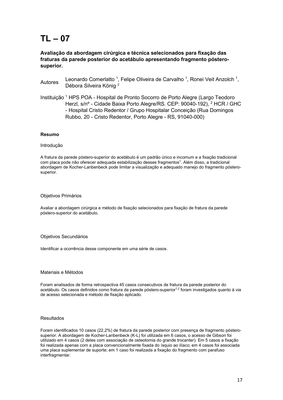### Avaliação da abordagem cirúrgica e técnica selecionados para fixação das fraturas da parede posterior do acetábulo apresentando fragmento pósterosuperior.

Autores Leonardo Comerlatto<sup>1</sup>, Felipe Oliveira de Carvalho<sup>1</sup>, Ronei Veit Anzolch<sup>1</sup>, Débora Silveira König <sup>2</sup>

Instituição <sup>1</sup> HPS POA - Hospital de Pronto Socorro de Porto Alegre (Largo Teodoro Herzl, s/nº - Cidade Baixa Porto Alegre/RS. CEP: 90040-192), <sup>2</sup> HCR / GHC - Hospital Cristo Redentor / Grupo Hospitalar Conceição (Rua Domingos Rubbo, 20 - Cristo Redentor, Porto Alegre - RS, 91040-000)

#### Resumo

#### Introdução

A fratura da parede póstero-superior do acetábulo é um padrão único e incomum e a fixação tradicional com placa pode não oferecer adequada estabilização desses fragmentos<sup>1</sup>. Além disso, a tradicional abordagem de Kocher-Lanbenbeck pode limitar a visualização e adequado manejo do fragmento pósterosuperior.

#### Objetivos Primários

Avaliar a abordagem cirúrgica e método de fixação selecionados para fixação de fratura da parede póstero-superior do acetábulo.

#### Objetivos Secundários

Identificar a ocorrência desse componente em uma série de casos.

#### Materiais e Métodos

Foram analisados de forma retrospectiva 45 casos consecutivos de fratura da parede posterior do acetábulo. Os casos definidos como fratura da parede póstero-superior<sup>1,2</sup> foram investigados quanto à via de acesso selecionada e método de fixação aplicado.

#### Resultados

Foram identificados 10 casos (22,2%) de fratura da parede posterior com presença de fragmento pósterosuperior. A abordagem de Kocher-Lanbenbeck (K-L) foi utilizada em 6 casos, o acesso de Gibson foi utilizado em 4 casos (2 deles com associação de osteotomia do grande trocanter). Em 5 casos a fixação foi realizada apenas com a placa convencionalmente fixada do ísquio ao ilíaco; em 4 casos foi associada uma placa suplementar de suporte; em 1 caso foi realizada a fixação do fragmento com parafuso interfragmentar.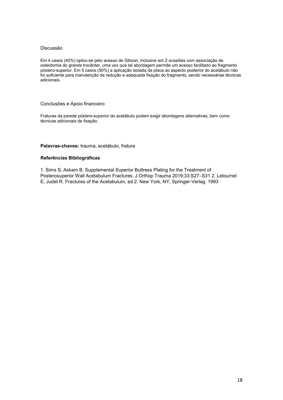Em 4 casos (40%) optou-se pelo acesso de Gibson, inclusive em 2 ocasiões com associação de osteotomia do grande trocânter, uma vez que tal abordagem permite um acesso facilitado ao fragmento póstero-superior. Em 5 casos (50%) a aplicação isolada da placa ao aspecto posterior do acetábulo não foi suficiente para manutenção da redução e adequada fixação do fragmento, sendo necessárias técnicas adicionais.

#### Conclusões e Apoio financeiro

Fraturas da parede póstero-superior do acetábulo podem exigir abordagens alternativas, bem como técnicas adicionais de fixação.

#### Palavras-chaves: trauma, acetábulo, fratura

#### Referências Bibliográficas

1. Sims S, Askam B. Supplemental Superior Buttress Plating for the Treatment of Posterosuperior Wall Acetabulum Fractures. J Orthop Trauma 2019;33:S27–S31 2. Letournel E, Judet R. Fractures of the Acetabulum, ed 2. New York, NY, Springer-Verlag. 1993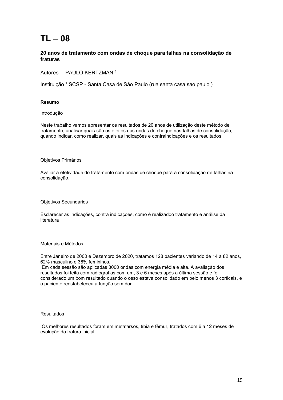### 20 anos de tratamento com ondas de choque para falhas na consolidação de fraturas

Autores PAULO KERTZMAN <sup>1</sup>

Instituição <sup>1</sup> SCSP - Santa Casa de São Paulo (rua santa casa sao paulo)

#### Resumo

Introdução

Neste trabalho vamos apresentar os resultados de 20 anos de utilização deste método de tratamento, analisar quais são os efeitos das ondas de choque nas falhas de consolidação, quando indicar, como realizar, quais as indicações e contraindicações e os resultados

#### Objetivos Primários

Avaliar a efetividade do tratamento com ondas de choque para a consolidação de falhas na consolidação.

Objetivos Secundários

Esclarecer as indicações, contra indicações, como é realizadoo tratamento e análise da literatura

#### Materiais e Métodos

Entre Janeiro de 2000 e Dezembro de 2020, tratamos 128 pacientes variando de 14 a 82 anos, 62% masculino e 38% femininos.

.Em cada sessão são aplicadas 3000 ondas com energia média e alta. A avaliação dos resultados foi feita com radiografias com um, 3 e 6 meses após a última sessão e foi considerado um bom resultado quando o osso estava consolidado em pelo menos 3 corticais, e o paciente reestabeleceu a função sem dor.

#### Resultados

 Os melhores resultados foram em metatarsos, tíbia e fêmur, tratados com 6 a 12 meses de evolução da fratura inicial.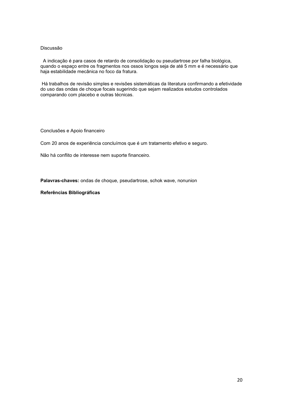A indicação é para casos de retardo de consolidação ou pseudartrose por falha biológica, quando o espaço entre os fragmentos nos ossos longos seja de até 5 mm e é necessário que haja estabilidade mecânica no foco da fratura.

 Há trabalhos de revisão simples e revisões sistemáticas da literatura confirmando a efetividade do uso das ondas de choque focais sugerindo que sejam realizados estudos controlados comparando com placebo e outras técnicas.

Conclusões e Apoio financeiro

Com 20 anos de experiência concluímos que é um tratamento efetivo e seguro.

Não há conflito de interesse nem suporte financeiro.

Palavras-chaves: ondas de choque, pseudartrose, schok wave, nonunion

#### Referências Bibliográficas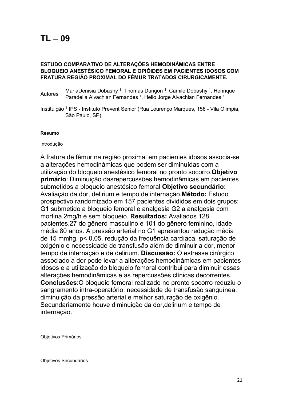## ESTUDO COMPARATIVO DE ALTERAÇÕES HEMODINÂMICAS ENTRE BLOQUEIO ANESTÉSICO FEMORAL E OPIÓIDES EM PACIENTES IDOSOS COM FRATURA REGIÃO PROXIMAL DO FÊMUR TRATADOS CIRURGICAMENTE.

- Autores MariaDenisia Dobashy <sup>1</sup>, Thomas Durigon <sup>1</sup>, Camile Dobashy <sup>1</sup>, Henrique<br>
Research Caradella Alvashian Fernandes <sup>1</sup>, Helis, Jarge Alvashian Fernandes <sup>1</sup> Paradella Alvachian Fernandes <sup>1</sup>, Helio Jorge Alvachian Fernandes <sup>1</sup>
- Instituição <sup>1</sup> IPS Instituto Prevent Senior (Rua Lourenço Marques, 158 Vila Olimpia, São Paulo, SP)

### Resumo

Introdução

A fratura de fêmur na região proximal em pacientes idosos associa-se a alterações hemodinâmicas que podem ser diminuídas com a utilização do bloqueio anestésico femoral no pronto socorro.Objetivo primário: Diminuição dasrepercussões hemodinâmicas em pacientes submetidos a bloqueio anestésico femoral Objetivo secundário: Avaliação da dor, delirium e tempo de internação.Método: Estudo prospectivo randomizado em 157 pacientes divididos em dois grupos: G1 submetido a bloqueio femoral e analgesia G2 a analgesia com morfina 2mg/h e sem bloqueio. Resultados: Avaliados 128 pacientes,27 do gênero masculino e 101 do gênero feminino, idade média 80 anos. A pressão arterial no G1 apresentou redução média de 15 mmhg, p< 0,05, redução da frequência cardíaca, saturação de oxigénio e necessidade de transfusão além de diminuir a dor, menor tempo de internação e de delirium. Discussão: O estresse cirúrgico associado a dor pode levar a alterações hemodinâmicas em pacientes idosos e a utilização do bloqueio femoral contribui para diminuir essas alterações hemodinâmicas e as repercussões clínicas decorrentes. Conclusões:O bloqueio femoral realizado no pronto socorro reduziu o sangramento intra-operatório, necessidade de transfusão sanguínea, diminuição da pressão arterial e melhor saturação de oxigênio. Secundariamente houve diminuição da dor,delirium e tempo de internação.

Objetivos Primários

Objetivos Secundários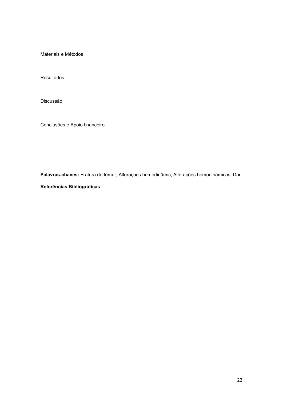Materiais e Métodos

Resultados

Discussão

Conclusões e Apoio financeiro

Palavras-chaves: Fratura de fêmur, Alterações hemodinâmic, Alterações hemodinâmicas, Dor

Referências Bibliográficas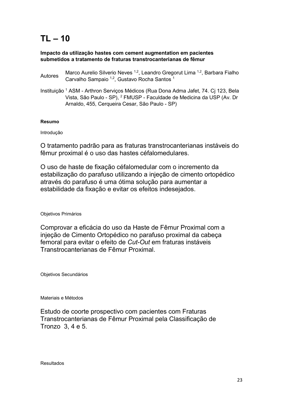## Impacto da utilização hastes com cement augmentation em pacientes submetidos a tratamento de fraturas transtrocanterianas de fêmur

- Marco Aurelio Silverio Neves<sup>1,2</sup>, Leandro Gregorut Lima <sup>1,2</sup>, Barbara Fialho Carvalho Sampaio <sup>1,2</sup>, Gustavo Rocha Santos <sup>1</sup>
- Instituição <sup>1</sup> ASM Arthron Serviços Médicos (Rua Dona Adma Jafet, 74. Cj 123, Bela Vista, São Paulo - SP), <sup>2</sup> FMUSP - Faculdade de Medicina da USP (Av. Dr Arnaldo, 455, Cerqueira Cesar, São Paulo - SP)

## Resumo

Introdução

O tratamento padrão para as fraturas transtrocanterianas instáveis do fêmur proximal é o uso das hastes céfalomedulares.

O uso de haste de fixação céfalomedular com o incremento da estabilização do parafuso utilizando a injeção de cimento ortopédico através do parafuso é uma ótima solução para aumentar a estabilidade da fixação e evitar os efeitos indesejados.

Objetivos Primários

Comprovar a eficácia do uso da Haste de Fêmur Proximal com a injeção de Cimento Ortopédico no parafuso proximal da cabeça femoral para evitar o efeito de Cut-Out em fraturas instáveis Transtrocanterianas de Fêmur Proximal.

Objetivos Secundários

Materiais e Métodos

Estudo de coorte prospectivo com pacientes com Fraturas Transtrocanterianas de Fêmur Proximal pela Classificação de Tronzo 3, 4 e 5.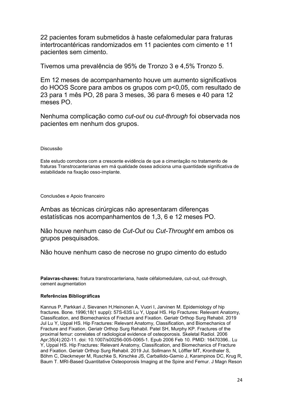22 pacientes foram submetidos à haste cefalomedular para fraturas intertrocantéricas randomizados em 11 pacientes com cimento e 11 pacientes sem cimento.

Tivemos uma prevalência de 95% de Tronzo 3 e 4,5% Tronzo 5.

Em 12 meses de acompanhamento houve um aumento significativos do HOOS Score para ambos os grupos com p<0,05, com resultado de 23 para 1 mês PO, 28 para 3 meses, 36 para 6 meses e 40 para 12 meses PO.

Nenhuma complicação como *cut-out* ou *cut-through* foi observada nos pacientes em nenhum dos grupos.

Discussão

Este estudo corrobora com a crescente evidência de que a cimentação no tratamento de fraturas Transtrocanterianas em má qualidade óssea adiciona uma quantidade significativa de estabilidade na fixação osso-implante.

Conclusões e Apoio financeiro

Ambas as técnicas cirúrgicas não apresentaram diferenças estatísticas nos acompanhamentos de 1,3, 6 e 12 meses PO.

Não houve nenhum caso de Cut-Out ou Cut-Throught em ambos os grupos pesquisados.

Não houve nenhum caso de necrose no grupo cimento do estudo

Palavras-chaves: fratura transtrocanteriana, haste céfalomedulare, cut-out, cut-through, cement augmentation

#### Referências Bibliográficas

Kannus P, Parkkari J, Sievanen H,Heinonen A, Vuori I, Jarvinen M. Epidemiology of hip fractures. Bone. 1996;18(1 suppl): 57S-63S Lu Y, Uppal HS. Hip Fractures: Relevant Anatomy, Classification, and Biomechanics of Fracture and Fixation. Geriatr Orthop Surg Rehabil. 2019 Jul Lu Y, Uppal HS. Hip Fractures: Relevant Anatomy, Classification, and Biomechanics of Fracture and Fixation. Geriatr Orthop Surg Rehabil. Patel SH, Murphy KP. Fractures of the proximal femur: correlates of radiological evidence of osteoporosis. Skeletal Radiol. 2006 Apr;35(4):202-11. doi: 10.1007/s00256-005-0065-1. Epub 2006 Feb 10. PMID: 16470396.. Lu Y, Uppal HS. Hip Fractures: Relevant Anatomy, Classification, and Biomechanics of Fracture and Fixation. Geriatr Orthop Surg Rehabil. 2019 Jul. Sollmann N, Löffler MT, Kronthaler S, Böhm C, Dieckmeyer M, Ruschke S, Kirschke JS, Carballido-Gamio J, Karampinos DC, Krug R, Baum T. MRI-Based Quantitative Osteoporosis Imaging at the Spine and Femur. J Magn Reson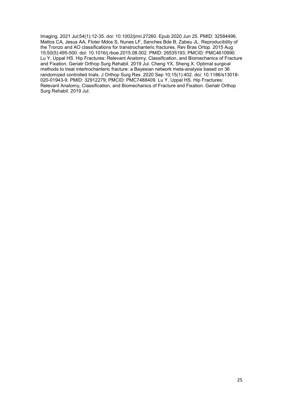Imaging. 2021 Jul;54(1):12-35. doi: 10.1002/jmri.27260. Epub 2020 Jun 25. PMID: 32584496. Mattos CA, Jesus AA, Floter Mdos S, Nunes LF, Sanches Bde B, Zabeu JL. Reproducibility of the Tronzo and AO classifications for transtrochanteric fractures. Rev Bras Ortop. 2015 Aug 15;50(5):495-500. doi: 10.1016/j.rboe.2015.08.002. PMID: 26535193; PMCID: PMC4610990. Lu Y, Uppal HS. Hip Fractures: Relevant Anatomy, Classification, and Biomechanics of Fracture and Fixation. Geriatr Orthop Surg Rehabil. 2019 Jul. Cheng YX, Sheng X. Optimal surgical methods to treat intertrochanteric fracture: a Bayesian network meta-analysis based on 36 randomized controlled trials. J Orthop Surg Res. 2020 Sep 10;15(1):402. doi: 10.1186/s13018- 020-01943-9. PMID: 32912279; PMCID: PMC7488409. Lu Y, Uppal HS. Hip Fractures: Relevant Anatomy, Classification, and Biomechanics of Fracture and Fixation. Geriatr Orthop Surg Rehabil. 2019 Jul.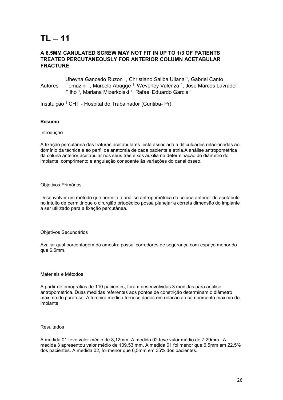### A 6.5MM CANULATED SCREW MAY NOT FIT IN UP TO 1/3 OF PATIENTS TREATED PERCUTANEOUSLY FOR ANTERIOR COLUMN ACETABULAR FRACTURE

Autores Uheyna Gancedo Ruzon <sup>1</sup>, Christiano Saliba Uliana <sup>1</sup>, Gabriel Canto Tomazini <sup>1</sup>, Marcelo Abagge <sup>1</sup>, Weverley Valenza <sup>1</sup>, Jose Marcos Lavrador Filho<sup>1</sup>, Mariana Mizerkolski<sup>1</sup>, Rafael Eduardo Garcia<sup>1</sup>

Instituição <sup>1</sup> CHT - Hospital do Trabalhador (Curitiba- Pr)

#### Resumo

#### Introdução

A fixação percutânea das fraturas acetabulares está associada a dificuldades relacionadas ao domínio da técnica e ao perfil da anatomia de cada paciente e etnia.A análise antropométrica da coluna anterior acetabular nos seus três eixos auxilia na determinação do diâmetro do implante, comprimento e angulação consoante às variações do canal ósseo.

#### Objetivos Primários

Desenvolver um método que permita a análise antropométrica da coluna anterior do acetábulo no intuito de permitir que o cirurgião ortopédico possa planejar a correta dimensão do implante a ser utilizado para a fixação percutânea.

#### Objetivos Secundários

Avaliar qual porcentagem da amostra possui corredores de segurança com espaço menor do que 6.5mm.

#### Materiais e Métodos

A partir detomografias de 110 pacientes, foram desenvolvidas 3 medidas para análise antropométrica. Duas medidas referentes aos pontos de constrição determinam o diâmetro máximo do parafuso. A terceira medida fornece dados em relacão ao comprimento maximo do implante.

#### Resultados

A medida 01 teve valor médio de 8,12mm. A medida 02 teve valor médio de 7,29mm. A medida 3 apresentou valor médio de 109,53 mm. A medida 01 foi menor que 6,5mm em 22,5% dos pacientes. A medida 02, foi menor que 6,5mm em 35% dos pacientes.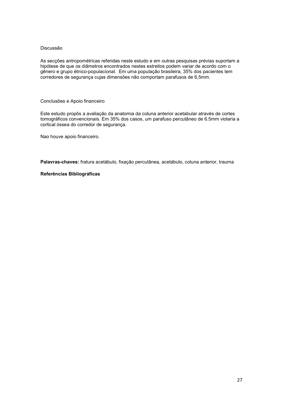As secções antropométricas referidas neste estudo e em outras pesquisas prévias suportam a hipótese de que os diâmetros encontrados nestes estreitos podem variar de acordo com o gênero e grupo étnico-populacional. Em uma população brasileira, 35% dos pacientes tem corredores de segurança cujas dimensões não comportam parafusos de 6,5mm.

#### Conclusões e Apoio financeiro

Este estudo propôs a avaliação da anatomia da coluna anterior acetabular através de cortes tomográficos convencionais. Em 35% dos casos, um parafuso percutâneo de 6.5mm violaria a cortical óssea do corredor de segurança.

Nao houve apoio financeiro.

Palavras-chaves: fratura acetábulo, fixação percutânea, acetábulo, coluna anterior, trauma

#### Referências Bibliográficas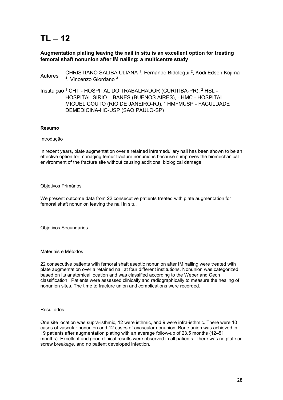## Augmentation plating leaving the nail in situ is an excellent option for treating femoral shaft nonunion after IM nailing: a multicentre study

Autores CHRISTIANO SALIBA ULIANA<sup>1</sup>, Fernando Bidolegui<sup>2</sup>, Kodi Edson Kojima <sup>4</sup>, Vincenzo Giordano<sup>3</sup>

Instituição <sup>1</sup> CHT - HOSPITAL DO TRABALHADOR (CURITIBA-PR), <sup>2</sup> HSL -HOSPITAL SIRIO LIBANES (BUENOS AIRES), <sup>3</sup> HMC - HOSPITAL MIGUEL COUTO (RIO DE JANEIRO-RJ), <sup>4</sup> HMFMUSP - FACULDADE DEMEDICINA-HC-USP (SAO PAULO-SP)

#### Resumo

#### Introdução

In recent years, plate augmentation over a retained intramedullary nail has been shown to be an effective option for managing femur fracture nonunions because it improves the biomechanical environment of the fracture site without causing additional biological damage.

#### Objetivos Primários

We present outcome data from 22 consecutive patients treated with plate augmentation for femoral shaft nonunion leaving the nail in situ.

Objetivos Secundários

#### Materiais e Métodos

22 consecutive patients with femoral shaft aseptic nonunion after IM nailing were treated with plate augmentation over a retained nail at four different institutions. Nonunion was categorized based on its anatomical location and was classified according to the Weber and Cech classification. Patients were assessed clinically and radiographically to measure the healing of nonunion sites. The time to fracture union and complications were recorded.

#### Resultados

One site location was supra-isthmic, 12 were isthmic, and 9 were infra-isthmic. There were 10 cases of vascular nonunion and 12 cases of avascular nonunion. Bone union was achieved in 19 patients after augmentation plating with an average follow-up of 23.5 months (12–51 months). Excellent and good clinical results were observed in all patients. There was no plate or screw breakage, and no patient developed infection.